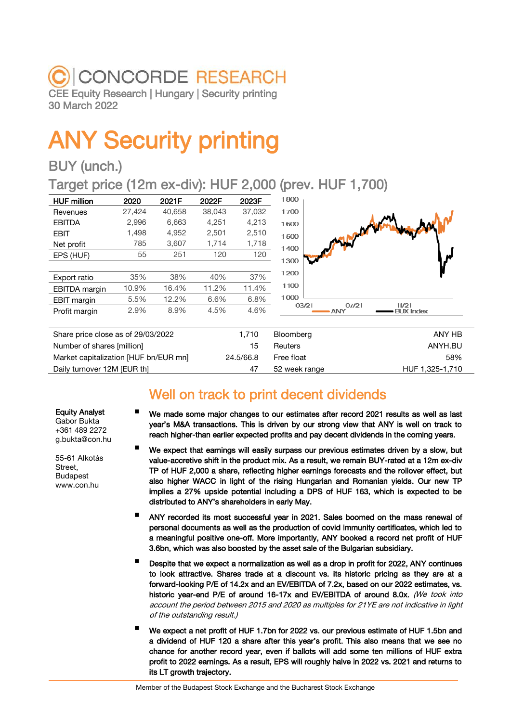## C CONCORDE RESEARCH CEE Equity Research | Hungary | Security printing 30 March 2022

# ANY Security printing

## BUY (unch.)

Target price (12m ex-div): HUF 2,000 (prev. HUF 1,700)

| <b>HUF million</b> | 2020   | 2021F  | 2022F  | 2023F  | 1800  |
|--------------------|--------|--------|--------|--------|-------|
| Revenues           | 27,424 | 40.658 | 38,043 | 37,032 | 1700  |
| <b>EBITDA</b>      | 2,996  | 6.663  | 4.251  | 4.213  | 1600  |
| <b>FRIT</b>        | 1,498  | 4.952  | 2,501  | 2,510  | 1500  |
| Net profit         | 785    | 3,607  | 1,714  | 1,718  | 1400  |
| EPS (HUF)          | 55     | 251    | 120    | 120    | 1300  |
|                    |        |        |        |        |       |
| Export ratio       | 35%    | 38%    | 40%    | 37%    | 1200  |
| EBITDA margin      | 10.9%  | 16.4%  | 11.2%  | 11.4%  | 1100  |
| EBIT margin        | 5.5%   | 12.2%  | 6.6%   | 6.8%   | 1000  |
| Profit margin      | 2.9%   | 8.9%   | 4.5%   | 4.6%   | 03/21 |
|                    |        |        |        |        |       |



| Share price close as of 29/03/2022    | 1.710     | Bloomberg     | ANY HB          |
|---------------------------------------|-----------|---------------|-----------------|
| Number of shares [million]            | 15        | Reuters       | ANYH.BU         |
| Market capitalization [HUF bn/EUR mn] | 24.5/66.8 | Free float    | 58%             |
| Daily turnover 12M [EUR th]           | 47        | 52 week range | HUF 1,325-1,710 |

## Well on track to print decent dividends

Equity Analyst Gabor Bukta +361 489 2272 g.bukta@con.hu

55-61 Alkotás Street, Budapest www.con.hu

- We made some major changes to our estimates after record 2021 results as well as last year's M&A transactions. This is driven by our strong view that ANY is well on track to reach higher-than earlier expected profits and pay decent dividends in the coming years.
- We expect that earnings will easily surpass our previous estimates driven by a slow, but value-accretive shift in the product mix. As a result, we remain BUY-rated at a 12m ex-div TP of HUF 2,000 a share, reflecting higher earnings forecasts and the rollover effect, but also higher WACC in light of the rising Hungarian and Romanian yields. Our new TP implies a 27% upside potential including a DPS of HUF 163, which is expected to be distributed to ANY's shareholders in early May.
- ANY recorded its most successful year in 2021. Sales boomed on the mass renewal of personal documents as well as the production of covid immunity certificates, which led to a meaningful positive one-off. More importantly, ANY booked a record net profit of HUF 3.6bn, which was also boosted by the asset sale of the Bulgarian subsidiary.
- Despite that we expect a normalization as well as a drop in profit for 2022, ANY continues to look attractive. Shares trade at a discount vs. its historic pricing as they are at a forward-looking P/E of 14.2x and an EV/EBITDA of 7.2x, based on our 2022 estimates, vs. historic year-end P/E of around 16-17x and EV/EBITDA of around 8.0x. (We took into account the period between 2015 and 2020 as multiples for 21YE are not indicative in light of the outstanding result.)
- We expect a net profit of HUF 1.7bn for 2022 vs. our previous estimate of HUF 1.5bn and a dividend of HUF 120 a share after this year's profit. This also means that we see no chance for another record year, even if ballots will add some ten millions of HUF extra profit to 2022 earnings. As a result, EPS will roughly halve in 2022 vs. 2021 and returns to its LT growth trajectory.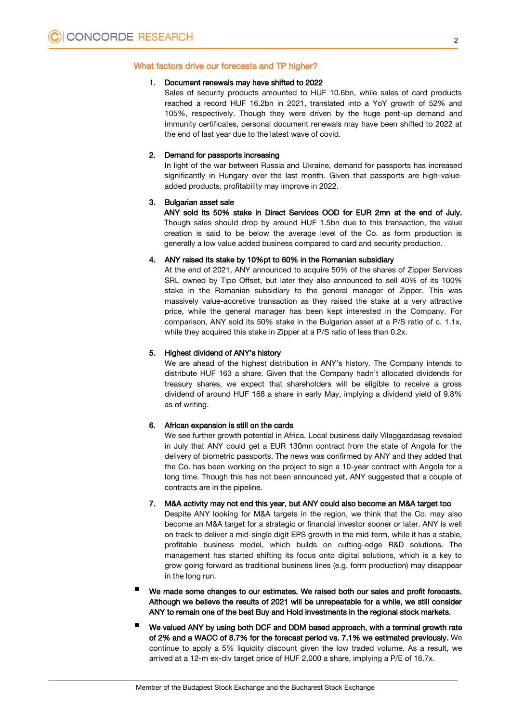#### What factors drive our forecasts and TP higher?

#### 1. Document renewals may have shifted to 2022

Sales of security products amounted to HUF 10.6bn, while sales of card products reached a record HUF 16.2bn in 2021, translated into a YoY growth of 52% and 105%, respectively. Though they were driven by the huge pent-up demand and immunity certificates, personal document renewals may have been shifted to 2022 at the end of last year due to the latest wave of covid.

#### 2. Demand for passports increasing

In light of the war between Russia and Ukraine, demand for passports has increased significantly in Hungary over the last month. Given that passports are high-valueadded products, profitability may improve in 2022.

#### 3. Bulgarian asset sale

ANY sold its 50% stake in Direct Services OOD for EUR 2mn at the end of July. Though sales should drop by around HUF 1.5bn due to this transaction, the value creation is said to be below the average level of the Co. as form production is generally a low value added business compared to card and security production.

#### 4. ANY raised its stake by 10%pt to 60% in the Romanian subsidiary

At the end of 2021, ANY announced to acquire 50% of the shares of Zipper Services SRL owned by Tipo Offset, but later they also announced to sell 40% of its 100% stake in the Romanian subsidiary to the general manager of Zipper. This was massively value-accretive transaction as they raised the stake at a very attractive price, while the general manager has been kept interested in the Company. For comparison, ANY sold its 50% stake in the Bulgarian asset at a P/S ratio of c. 1.1x, while they acquired this stake in Zipper at a P/S ratio of less than 0.2x.

#### 5. Highest dividend of ANY's history

We are ahead of the highest distribution in ANY's history. The Company intends to distribute HUF 163 a share. Given that the Company hadn't allocated dividends for treasury shares, we expect that shareholders will be eligible to receive a gross dividend of around HUF 168 a share in early May, implying a dividend yield of 9.8% as of writing.

#### 6. African expansion is still on the cards

We see further growth potential in Africa. Local business daily Vilaggazdasag revealed in July that ANY could get a EUR 130mn contract from the state of Angola for the delivery of biometric passports. The news was confirmed by ANY and they added that the Co. has been working on the project to sign a 10-year contract with Angola for a long time. Though this has not been announced yet, ANY suggested that a couple of contracts are in the pipeline.

#### 7. M&A activity may not end this year, but ANY could also become an M&A target too

Despite ANY looking for M&A targets in the region, we think that the Co. may also become an M&A target for a strategic or financial investor sooner or later. ANY is well on track to deliver a mid-single digit EPS growth in the mid-term, while it has a stable, profitable business model, which builds on cutting-edge R&D solutions. The management has started shifting its focus onto digital solutions, which is a key to grow going forward as traditional business lines (e.g. form production) may disappear in the long run.

- We made some changes to our estimates. We raised both our sales and profit forecasts. Although we believe the results of 2021 will be unrepeatable for a while, we still consider ANY to remain one of the best Buy and Hold investments in the regional stock markets.
- We valued ANY by using both DCF and DDM based approach, with a terminal growth rate of 2% and a WACC of 8.7% for the forecast period vs. 7.1% we estimated previously. We continue to apply a 5% liquidity discount given the low traded volume. As a result, we arrived at a 12-m ex-div target price of HUF 2,000 a share, implying a P/E of 16.7x.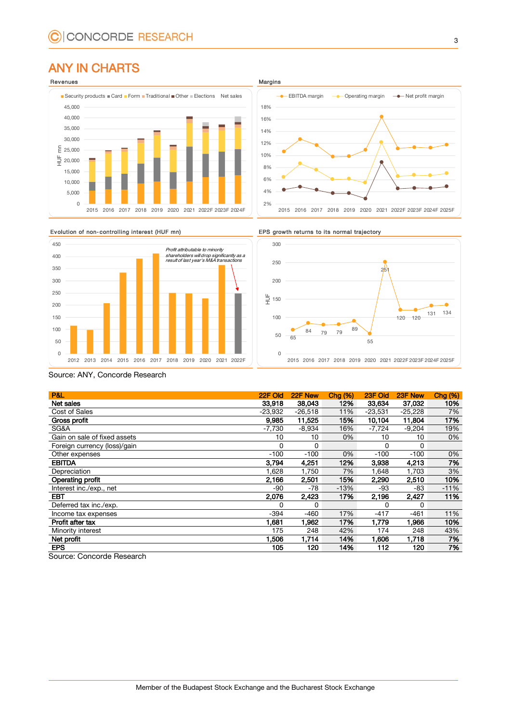## ANY IN CHARTS









Source: ANY, Concorde Research

| P&L                          | 22F Old   | 22F New   | Chg <sub>3</sub> | 23F Old   | 23F New   | Chg <sub>3</sub> |
|------------------------------|-----------|-----------|------------------|-----------|-----------|------------------|
| Net sales                    | 33.918    | 38,043    | 12%              | 33,634    | 37,032    | 10%              |
| Cost of Sales                | $-23,932$ | $-26,518$ | 11%              | $-23,531$ | $-25,228$ | 7%               |
| Gross profit                 | 9,985     | 11,525    | 15%              | 10,104    | 11,804    | 17%              |
| SG&A                         | $-7,730$  | $-8,934$  | 16%              | $-7,724$  | $-9.204$  | 19%              |
| Gain on sale of fixed assets | 10        | 10        | 0%               | 10        | 10        | 0%               |
| Foreign currency (loss)/gain | 0         | 0         |                  | 0         | 0         |                  |
| Other expenses               | $-100$    | $-100$    | 0%               | $-100$    | $-100$    | 0%               |
| <b>EBITDA</b>                | 3,794     | 4,251     | 12%              | 3,938     | 4,213     | 7%               |
| Depreciation                 | 1,628     | 1,750     | 7%               | 1,648     | 1,703     | 3%               |
| Operating profit             | 2,166     | 2,501     | 15%              | 2,290     | 2,510     | 10%              |
| Interest inc./exp., net      | $-90$     | -78       | $-13%$           | -93       | -83       | $-11%$           |
| <b>EBT</b>                   | 2,076     | 2,423     | 17%              | 2,196     | 2,427     | 11%              |
| Deferred tax inc./exp.       | 0         | 0         |                  | 0         | 0         |                  |
| Income tax expenses          | $-394$    | $-460$    | 17%              | $-417$    | $-461$    | 11%              |
| Profit after tax             | 1,681     | 1.962     | 17%              | 1.779     | 1.966     | 10%              |
| Minority interest            | 175       | 248       | 42%              | 174       | 248       | 43%              |
| Net profit                   | 1,506     | 1,714     | 14%              | 1.606     | 1,718     | 7%               |
| <b>EPS</b>                   | 105       | 120       | 14%              | 112       | 120       | 7%               |

Source: Concorde Research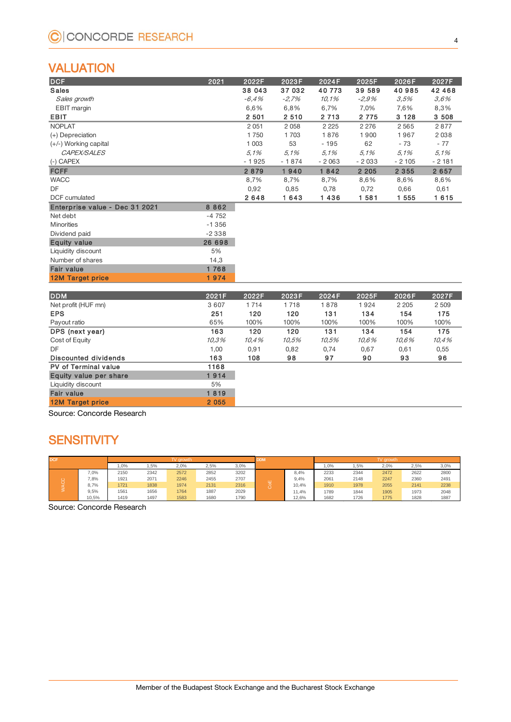## VALUATION

| <b>DCF</b>                     | 2021    | 2022F   | 2023F   | 2024F   | 2025F   | 2026F   | 2027F    |
|--------------------------------|---------|---------|---------|---------|---------|---------|----------|
| <b>Sales</b>                   |         | 38 043  | 37 032  | 40 773  | 39 589  | 40985   | 42 4 6 8 |
| Sales growth                   |         | $-6.4%$ | $-2.7%$ | 10.1%   | $-2.9%$ | 3.5%    | 3.6%     |
| EBIT margin                    |         | 6,6%    | 6,8%    | 6,7%    | 7,0%    | 7,6%    | 8,3%     |
| <b>EBIT</b>                    |         | 2 5 0 1 | 2 5 1 0 | 2 7 1 3 | 2 7 7 5 | 3 1 2 8 | 3 5 0 8  |
| <b>NOPLAT</b>                  |         | 2 0 5 1 | 2 0 5 8 | 2 2 2 5 | 2 2 7 6 | 2565    | 2877     |
| $(+)$ Depreciation             |         | 1750    | 1 703   | 1876    | 1900    | 1967    | 2038     |
| $(+/-)$ Working capital        |         | 1 0 0 3 | 53      | $-195$  | 62      | $-73$   | $-77$    |
| CAPEX/SALES                    |         | 5.1%    | 5.1%    | 5.1%    | 5.1%    | 5.1%    | 5.1%     |
| $(-)$ CAPEX                    |         | $-1925$ | $-1874$ | $-2063$ | $-2033$ | $-2105$ | $-2181$  |
| <b>FCFF</b>                    |         | 2879    | 1940    | 1842    | 2 2 0 5 | 2 3 5 5 | 2 6 5 7  |
| <b>WACC</b>                    |         | 8,7%    | 8,7%    | 8,7%    | 8,6%    | 8,6%    | 8,6%     |
| DF                             |         | 0,92    | 0,85    | 0,78    | 0,72    | 0,66    | 0,61     |
| <b>DCF</b> cumulated           |         | 2648    | 1643    | 1436    | 1 581   | 1 555   | 1615     |
| Enterprise value - Dec 31 2021 | 8 8 6 2 |         |         |         |         |         |          |
| Net debt                       | $-4752$ |         |         |         |         |         |          |
| <b>Minorities</b>              | $-1356$ |         |         |         |         |         |          |
| Dividend paid                  | $-2338$ |         |         |         |         |         |          |
| <b>Equity value</b>            | 26 698  |         |         |         |         |         |          |
| Liquidity discount             | 5%      |         |         |         |         |         |          |
| Number of shares               | 14,3    |         |         |         |         |         |          |
| <b>Fair value</b>              | 1768    |         |         |         |         |         |          |
| <b>12M Target price</b>        | 1974    |         |         |         |         |         |          |
| <b>DDM</b>                     | 2021F   | 2022F   | 2023F   | 2024F   | 2025F   | 2026F   | 2027F    |
| Net profit (HUF mn)            | 3607    | 1 7 1 4 | 1718    | 1878    | 1924    | 2 2 0 5 | 2 509    |

| $1 - 1$                     | .       |       |       |       |       |         |         |
|-----------------------------|---------|-------|-------|-------|-------|---------|---------|
|                             |         |       |       |       |       |         |         |
| <b>DDM</b>                  | 2021F   | 2022F | 2023F | 2024F | 2025F | 2026F   | 2027F   |
| Net profit (HUF mn)         | 3 6 0 7 | 1714  | 1718  | 1878  | 1924  | 2 2 0 5 | 2 5 0 9 |
| <b>EPS</b>                  | 251     | 120   | 120   | 131   | 134   | 154     | 175     |
| Payout ratio                | 65%     | 100%  | 100%  | 100%  | 100%  | 100%    | 100%    |
| DPS (next year)             | 163     | 120   | 120   | 131   | 134   | 154     | 175     |
| Cost of Equity              | 10.3%   | 10,4% | 10.5% | 10,5% | 10.6% | 10.6%   | 10,4%   |
| DF                          | 1,00    | 0,91  | 0,82  | 0,74  | 0,67  | 0,61    | 0,55    |
| <b>Discounted dividends</b> | 163     | 108   | 98    | 97    | 90    | 93      | 96      |
| <b>PV of Terminal value</b> | 1168    |       |       |       |       |         |         |
| Equity value per share      | 1914    |       |       |       |       |         |         |
| Liquidity discount          | 5%      |       |       |       |       |         |         |
| <b>Fair value</b>           | 1819    |       |       |       |       |         |         |
| <b>12M Target price</b>     | 2 0 5 5 |       |       |       |       |         |         |
|                             |         |       |       |       |       |         |         |

Source: Concorde Research

## **SENSITIVITY**

| <b>DCF</b> |       | <b>arowth</b> |      |      | <b>DDM</b> |      | TV arowt |       |      |      |      |      |      |
|------------|-------|---------------|------|------|------------|------|----------|-------|------|------|------|------|------|
|            |       | 0%            | .5%  | 2,0% | 2,5%       | 3,0% |          |       | 1,0% | ,5%  | 2,0% | 2,5% | 3,0% |
|            | 7,0%  | 2150          | 2342 | 2572 | 2852       | 3202 |          | 8,4%  | 2233 | 2344 | 2472 | 2622 | 2800 |
|            | 7,8%  | 1921          | 2071 | 2246 | 2455       | 2707 | ш        | 9,4%  | 2061 | 2148 | 2247 | 2360 | 2491 |
|            | 8,7%  | 1721          | 1838 | 1974 | 2131       | 2316 |          | 10,4% | 1910 | 1978 | 2055 | 2141 | 2238 |
|            | 9,5%  | 1561          | 1656 | 1764 | 1887       | 2029 |          | 1,4%  | 1789 | 1844 | 1905 | 1973 | 2048 |
|            | 10.5% | 1419          | 1497 | 1583 | 1680       | 1790 |          | 12,6% | 1682 | 1726 | 1775 | 1828 | 1887 |

Source: Concorde Research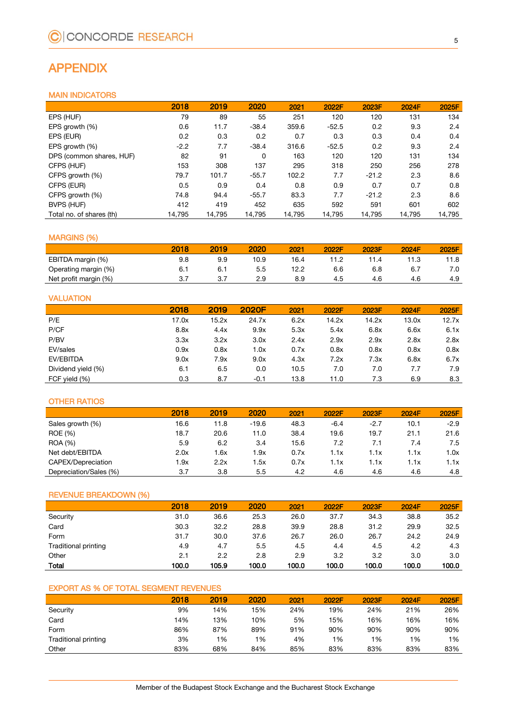## APPENDIX

#### MAIN INDICATORS

|                          | 2018   | 2019   | 2020    | 2021   | 2022F   | 2023F   | 2024F  | 2025F  |
|--------------------------|--------|--------|---------|--------|---------|---------|--------|--------|
| EPS (HUF)                | 79     | 89     | 55      | 251    | 120     | 120     | 131    | 134    |
| EPS growth (%)           | 0.6    | 11.7   | $-38.4$ | 359.6  | $-52.5$ | 0.2     | 9.3    | 2.4    |
| EPS (EUR)                | 0.2    | 0.3    | 0.2     | 0.7    | 0.3     | 0.3     | 0.4    | 0.4    |
| EPS growth (%)           | $-2.2$ | 7.7    | $-38.4$ | 316.6  | $-52.5$ | 0.2     | 9.3    | 2.4    |
| DPS (common shares, HUF) | 82     | 91     | 0       | 163    | 120     | 120     | 131    | 134    |
| CFPS (HUF)               | 153    | 308    | 137     | 295    | 318     | 250     | 256    | 278    |
| CFPS growth (%)          | 79.7   | 101.7  | $-55.7$ | 102.2  | 7.7     | $-21.2$ | 2.3    | 8.6    |
| CFPS (EUR)               | 0.5    | 0.9    | 0.4     | 0.8    | 0.9     | 0.7     | 0.7    | 0.8    |
| CFPS growth (%)          | 74.8   | 94.4   | $-55.7$ | 83.3   | 7.7     | $-21.2$ | 2.3    | 8.6    |
| BVPS (HUF)               | 412    | 419    | 452     | 635    | 592     | 591     | 601    | 602    |
| Total no. of shares (th) | 14,795 | 14,795 | 14,795  | 14,795 | 14,795  | 14,795  | 14,795 | 14,795 |

#### MARGINS (%)

|                       | 2018 | 2019 | 2020 | 2021 | 2022F | 2023F | 2024F | 2025F |
|-----------------------|------|------|------|------|-------|-------|-------|-------|
| EBITDA margin (%)     | 9.8  | 9.9  | 10.9 | 16.4 |       | 11.4  | 11.3  | 11.8  |
| Operating margin (%)  | 6.   | 6.1  | 5.5  | 12.2 | 6.6   | 6.8   | 6.7   | 7.0   |
| Net profit margin (%) | 3.7  | ب    | 2.9  | 8.9  | 4.5   | 4.6   | 4.6   | 4.9   |

#### VALUATION

|                    | 2018  | 2019  | 2020F  | 2021 | 2022F | 2023F | 2024F | 2025F |
|--------------------|-------|-------|--------|------|-------|-------|-------|-------|
| P/E                | 17.0x | 15.2x | 24.7x  | 6.2x | 14.2x | 14.2x | 13.0x | 12.7x |
| P/CF               | 8.8x  | 4.4x  | 9.9x   | 5.3x | 5.4x  | 6.8x  | 6.6x  | 6.1x  |
| P/BV               | 3.3x  | 3.2x  | 3.0x   | 2.4x | 2.9x  | 2.9x  | 2.8x  | 2.8x  |
| EV/sales           | 0.9x  | 0.8x  | 1.0x   | 0.7x | 0.8x  | 0.8x  | 0.8x  | 0.8x  |
| EV/EBITDA          | 9.0x  | 7.9x  | 9.0x   | 4.3x | 7.2x  | 7.3x  | 6.8x  | 6.7x  |
| Dividend yield (%) | 6.1   | 6.5   | 0.0    | 10.5 | 7.0   | 7.0   | 7.7   | 7.9   |
| FCF yield (%)      | 0.3   | 8.7   | $-0.1$ | 13.8 | 11.0  | 7.3   | 6.9   | 8.3   |

#### OTHER RATIOS

|                        | 2018 | 2019 | 2020          | 2021 | 2022F  | 2023F  | 2024F | 2025F  |
|------------------------|------|------|---------------|------|--------|--------|-------|--------|
| Sales growth (%)       | 16.6 | 11.8 | $-19.6$       | 48.3 | $-6.4$ | $-2.7$ | 10.1  | $-2.9$ |
| <b>ROE</b> (%)         | 18.7 | 20.6 | 11.0          | 38.4 | 19.6   | 19.7   | 21.1  | 21.6   |
| <b>ROA</b> (%)         | 5.9  | 6.2  | 3.4           | 15.6 | 7.2    | 7.1    | 7.4   | 7.5    |
| Net debt/EBITDA        | 2.0x | 1.6x | 1.9x          | 0.7x | 1.1x   | l.1x   | 1.1x  | 1.0x   |
| CAPEX/Depreciation     | 1.9x | 2.2x | 5x            | 0.7x | l.1x   | 1x     | 1.1x  | 1.1x   |
| Depreciation/Sales (%) | 3.7  | 3.8  | $5.5^{\circ}$ | 4.2  | 4.6    | 4.6    | 4.6   | 4.8    |

#### REVENUE BREAKDOWN (%)

|                      | 2018  | 2019  | 2020  | 2021  | 2022F | 2023F | 2024F | 2025F |
|----------------------|-------|-------|-------|-------|-------|-------|-------|-------|
| Security             | 31.0  | 36.6  | 25.3  | 26.0  | 37.7  | 34.3  | 38.8  | 35.2  |
| Card                 | 30.3  | 32.2  | 28.8  | 39.9  | 28.8  | 31.2  | 29.9  | 32.5  |
| Form                 | 31.7  | 30.0  | 37.6  | 26.7  | 26.0  | 26.7  | 24.2  | 24.9  |
| Traditional printing | 4.9   | 4.7   | 5.5   | 4.5   | 4.4   | 4.5   | 4.2   | 4.3   |
| Other                | 2.1   | 2.2   | 2.8   | 2.9   | 3.2   | 3.2   | 3.0   | 3.0   |
| <b>Total</b>         | 100.0 | 105.9 | 100.0 | 100.0 | 100.0 | 100.0 | 100.0 | 100.0 |

#### EXPORT AS % OF TOTAL SEGMENT REVENUES

|                      | 2018 | 2019 | 2020 | 2021 | 2022F | 2023F | 2024F | 2025F |
|----------------------|------|------|------|------|-------|-------|-------|-------|
| Security             | 9%   | 14%  | 15%  | 24%  | 19%   | 24%   | 21%   | 26%   |
| Card                 | 14%  | 13%  | 10%  | 5%   | 15%   | 16%   | 16%   | 16%   |
| Form                 | 86%  | 87%  | 89%  | 91%  | 90%   | 90%   | 90%   | 90%   |
| Traditional printing | 3%   | 1%   | 1%   | 4%   | 1%    | 1%    | 1%    | 1%    |
| Other                | 83%  | 68%  | 84%  | 85%  | 83%   | 83%   | 83%   | 83%   |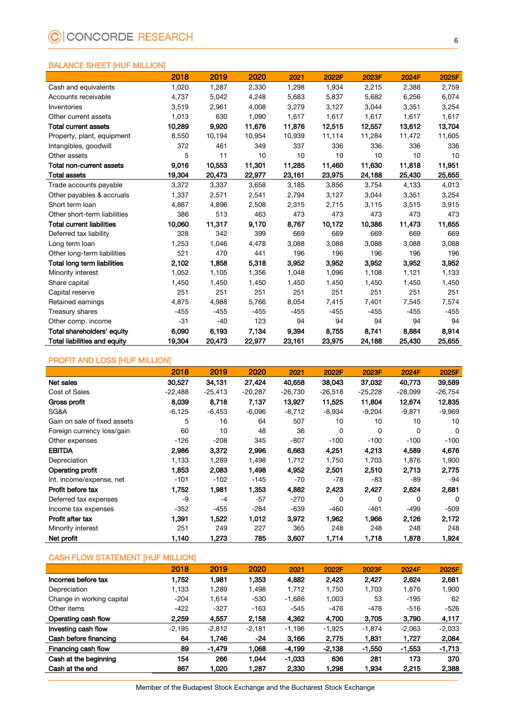#### BALANCE SHEET [HUF MILLION]

|                                     | 2018   | 2019   | 2020   | 2021   | 2022F  | 2023F  | 2024F  | 2025F  |
|-------------------------------------|--------|--------|--------|--------|--------|--------|--------|--------|
| Cash and equivalents                | 1,020  | 1,287  | 2,330  | 1,298  | 1,934  | 2,215  | 2,388  | 2,759  |
| Accounts receivable                 | 4,737  | 5,042  | 4,248  | 5,683  | 5,837  | 5,682  | 6,256  | 6,074  |
| Inventories                         | 3,519  | 2,961  | 4,008  | 3,279  | 3,127  | 3,044  | 3,351  | 3,254  |
| Other current assets                | 1,013  | 630    | 1,090  | 1,617  | 1,617  | 1,617  | 1,617  | 1,617  |
| <b>Total current assets</b>         | 10,289 | 9,920  | 11,676 | 11,876 | 12.515 | 12,557 | 13,612 | 13,704 |
| Property, plant, equipment          | 8,550  | 10,194 | 10,954 | 10,939 | 11,114 | 11,284 | 11,472 | 11,605 |
| Intangibles, goodwill               | 372    | 461    | 349    | 337    | 336    | 336    | 336    | 336    |
| Other assets                        | 5      | 11     | 10     | 10     | 10     | 10     | 10     | 10     |
| Total non-current assets            | 9,016  | 10,553 | 11,301 | 11,285 | 11,460 | 11,630 | 11,818 | 11,951 |
| <b>Total assets</b>                 | 19,304 | 20,473 | 22,977 | 23,161 | 23,975 | 24,188 | 25,430 | 25,655 |
| Trade accounts payable              | 3.372  | 3,337  | 3,658  | 3,185  | 3,856  | 3,754  | 4,133  | 4,013  |
| Other payables & accruals           | 1,337  | 2,571  | 2,541  | 2,794  | 3,127  | 3,044  | 3,351  | 3,254  |
| Short term loan                     | 4,887  | 4,896  | 2,508  | 2,315  | 2,715  | 3,115  | 3,515  | 3,915  |
| Other short-term liabilities        | 386    | 513    | 463    | 473    | 473    | 473    | 473    | 473    |
| <b>Total current liabilities</b>    | 10,060 | 11,317 | 9,170  | 8,767  | 10,172 | 10,386 | 11,473 | 11,655 |
| Deferred tax liability              | 328    | 342    | 399    | 669    | 669    | 669    | 669    | 669    |
| Long term loan                      | 1,253  | 1,046  | 4,478  | 3,088  | 3,088  | 3,088  | 3,088  | 3,088  |
| Other long-term liabilities         | 521    | 470    | 441    | 196    | 196    | 196    | 196    | 196    |
| Total long term liabilities         | 2,102  | 1,858  | 5,318  | 3,952  | 3,952  | 3,952  | 3,952  | 3,952  |
| Minority interest                   | 1,052  | 1,105  | 1,356  | 1,048  | 1,096  | 1,108  | 1,121  | 1,133  |
| Share capital                       | 1,450  | 1,450  | 1,450  | 1,450  | 1,450  | 1,450  | 1,450  | 1,450  |
| Capital reserve                     | 251    | 251    | 251    | 251    | 251    | 251    | 251    | 251    |
| Retained earnings                   | 4,875  | 4,988  | 5,766  | 8,054  | 7,415  | 7,401  | 7,545  | 7,574  |
| Treasury shares                     | $-455$ | $-455$ | $-455$ | $-455$ | $-455$ | $-455$ | $-455$ | -455   |
| Other comp. income                  | $-31$  | $-40$  | 123    | 94     | 94     | 94     | 94     | 94     |
| Total shareholders' equity          | 6,090  | 6,193  | 7,134  | 9,394  | 8,755  | 8,741  | 8,884  | 8,914  |
| <b>Total liabilities and equity</b> | 19,304 | 20,473 | 22,977 | 23,161 | 23,975 | 24,188 | 25,430 | 25,655 |

#### PROFIT AND LOSS [HUF MILLION]

|                              | 2018      | 2019      | 2020      | 2021      | 2022F     | 2023F     | 2024F     | 2025F     |
|------------------------------|-----------|-----------|-----------|-----------|-----------|-----------|-----------|-----------|
| Net sales                    | 30,527    | 34,131    | 27,424    | 40,658    | 38,043    | 37,032    | 40,773    | 39,589    |
| Cost of Sales                | $-22,488$ | $-25,413$ | $-20,287$ | $-26,730$ | $-26,518$ | $-25,228$ | $-28,099$ | $-26,754$ |
| Gross profit                 | 8,039     | 8,718     | 7,137     | 13,927    | 11.525    | 11,804    | 12,674    | 12,835    |
| SG&A                         | $-6,125$  | $-6,453$  | $-6,096$  | $-8,712$  | $-8,934$  | $-9,204$  | $-9,871$  | $-9,969$  |
| Gain on sale of fixed assets | 5         | 16        | 64        | 507       | 10        | 10        | 10        | 10        |
| Foreign currency loss/gain   | 60        | 10        | 48        | 36        | 0         | 0         | 0         | 0         |
| Other expenses               | $-126$    | $-208$    | 345       | $-807$    | $-100$    | $-100$    | $-100$    | $-100$    |
| <b>EBITDA</b>                | 2,986     | 3,372     | 2.996     | 6,663     | 4,251     | 4,213     | 4,589     | 4,676     |
| Depreciation                 | 1,133     | 1,289     | 1,498     | 1,712     | 1,750     | 1,703     | 1,876     | 1,900     |
| Operating profit             | 1,853     | 2,083     | 1,498     | 4,952     | 2,501     | 2,510     | 2,713     | 2,775     |
| Int. income/expense, net     | $-101$    | $-102$    | $-145$    | $-70$     | -78       | -83       | -89       | -94       |
| Profit before tax            | 1,752     | 1,981     | 1,353     | 4,882     | 2,423     | 2,427     | 2,624     | 2,681     |
| Deferred tax expenses        | -9        | $-4$      | $-57$     | $-270$    | 0         | 0         | 0         | 0         |
| Income tax expenses          | $-352$    | $-455$    | $-284$    | $-639$    | $-460$    | $-461$    | -499      | $-509$    |
| Profit after tax             | 1,391     | 1,522     | 1,012     | 3,972     | 1,962     | 1,966     | 2,126     | 2,172     |
| Minority interest            | 251       | 249       | 227       | 365       | 248       | 248       | 248       | 248       |
| Net profit                   | 1,140     | 1,273     | 785       | 3,607     | 1,714     | 1,718     | 1,878     | 1,924     |

#### CASH FLOW STATEMENT [HUF MILLION]

|                           | 2018     | 2019     | 2020     | 2021     | 2022F    | 2023F    | 2024F    | 2025F    |
|---------------------------|----------|----------|----------|----------|----------|----------|----------|----------|
| Incomes before tax        | 1.752    | 1,981    | 1.353    | 4,882    | 2,423    | 2,427    | 2.624    | 2,681    |
| Depreciation              | 1,133    | 1,289    | 1.498    | 1,712    | 1.750    | 1.703    | 1,876    | 1,900    |
| Change in working capital | $-204$   | 1,614    | $-530$   | $-1,686$ | 1,003    | 53       | $-195$   | 62       |
| Other items               | $-422$   | $-327$   | $-163$   | $-545$   | -476     | $-478$   | $-516$   | $-526$   |
| Operating cash flow       | 2,259    | 4,557    | 2,158    | 4,362    | 4,700    | 3,705    | 3,790    | 4,117    |
| Investing cash flow       | $-2,195$ | $-2,812$ | $-2,181$ | $-1.196$ | $-1.925$ | $-1,874$ | $-2.063$ | $-2,033$ |
| Cash before financing     | 64       | 1,746    | -24      | 3.166    | 2.775    | 1,831    | 1,727    | 2,084    |
| Financing cash flow       | 89       | $-1,479$ | 1.068    | $-4.199$ | $-2,138$ | $-1.550$ | $-1,553$ | $-1,713$ |
| Cash at the beginning     | 154      | 266      | 1.044    | $-1.033$ | 636      | 281      | 173      | 370      |
| Cash at the end           | 867      | 1.020    | 1.287    | 2.330    | 1,298    | 1.934    | 2.215    | 2,388    |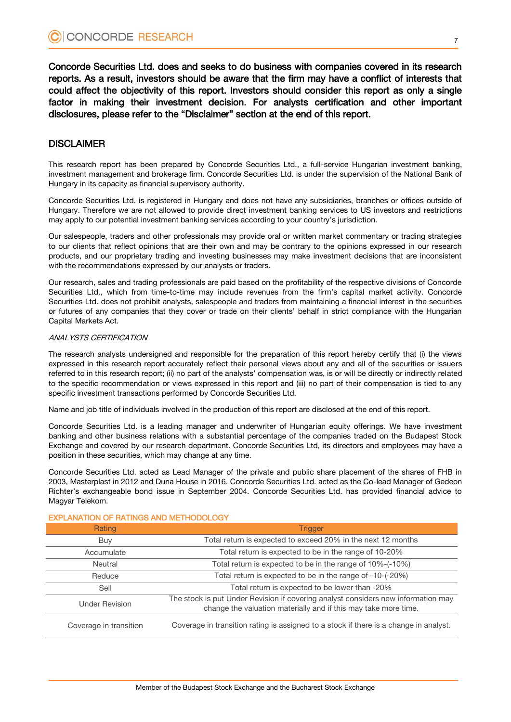Concorde Securities Ltd. does and seeks to do business with companies covered in its research reports. As a result, investors should be aware that the firm may have a conflict of interests that could affect the objectivity of this report. Investors should consider this report as only a single factor in making their investment decision. For analysts certification and other important disclosures, please refer to the "Disclaimer" section at the end of this report.

### **DISCLAIMER**

This research report has been prepared by Concorde Securities Ltd., a full-service Hungarian investment banking, investment management and brokerage firm. Concorde Securities Ltd. is under the supervision of the National Bank of Hungary in its capacity as financial supervisory authority.

Concorde Securities Ltd. is registered in Hungary and does not have any subsidiaries, branches or offices outside of Hungary. Therefore we are not allowed to provide direct investment banking services to US investors and restrictions may apply to our potential investment banking services according to your country's jurisdiction.

Our salespeople, traders and other professionals may provide oral or written market commentary or trading strategies to our clients that reflect opinions that are their own and may be contrary to the opinions expressed in our research products, and our proprietary trading and investing businesses may make investment decisions that are inconsistent with the recommendations expressed by our analysts or traders.

Our research, sales and trading professionals are paid based on the profitability of the respective divisions of Concorde Securities Ltd., which from time-to-time may include revenues from the firm's capital market activity. Concorde Securities Ltd. does not prohibit analysts, salespeople and traders from maintaining a financial interest in the securities or futures of any companies that they cover or trade on their clients' behalf in strict compliance with the Hungarian Capital Markets Act.

#### ANALYSTS CERTIFICATION

The research analysts undersigned and responsible for the preparation of this report hereby certify that (i) the views expressed in this research report accurately reflect their personal views about any and all of the securities or issuers referred to in this research report; (ii) no part of the analysts' compensation was, is or will be directly or indirectly related to the specific recommendation or views expressed in this report and (iii) no part of their compensation is tied to any specific investment transactions performed by Concorde Securities Ltd.

Name and job title of individuals involved in the production of this report are disclosed at the end of this report.

Concorde Securities Ltd. is a leading manager and underwriter of Hungarian equity offerings. We have investment banking and other business relations with a substantial percentage of the companies traded on the Budapest Stock Exchange and covered by our research department. Concorde Securities Ltd, its directors and employees may have a position in these securities, which may change at any time.

Concorde Securities Ltd. acted as Lead Manager of the private and public share placement of the shares of FHB in 2003, Masterplast in 2012 and Duna House in 2016. Concorde Securities Ltd. acted as the Co-lead Manager of Gedeon Richter's exchangeable bond issue in September 2004. Concorde Securities Ltd. has provided financial advice to Magyar Telekom.

| Rating                 | <b>Trigger</b>                                                                                                                                       |
|------------------------|------------------------------------------------------------------------------------------------------------------------------------------------------|
| Buy                    | Total return is expected to exceed 20% in the next 12 months                                                                                         |
| Accumulate             | Total return is expected to be in the range of 10-20%                                                                                                |
| Neutral                | Total return is expected to be in the range of 10%-(-10%)                                                                                            |
| Reduce                 | Total return is expected to be in the range of -10-(-20%)                                                                                            |
| Sell                   | Total return is expected to be lower than -20%                                                                                                       |
| <b>Under Revision</b>  | The stock is put Under Revision if covering analyst considers new information may<br>change the valuation materially and if this may take more time. |
| Coverage in transition | Coverage in transition rating is assigned to a stock if there is a change in analyst.                                                                |

#### EXPLANATION OF RATINGS AND METHODOLOGY